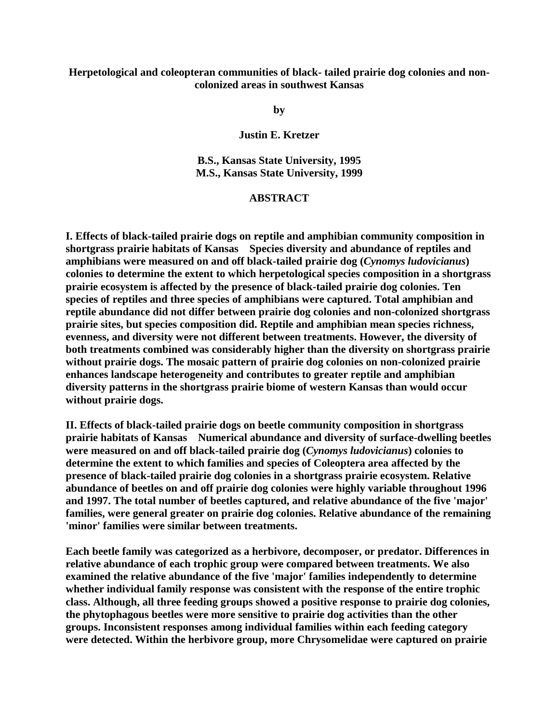## **Herpetological and coleopteran communities of black- tailed prairie dog colonies and noncolonized areas in southwest Kansas**

**by**

**Justin E. Kretzer**

**B.S., Kansas State University, 1995 M.S., Kansas State University, 1999** 

## **ABSTRACT**

**I. Effects of black-tailed prairie dogs on reptile and amphibian community composition in shortgrass prairie habitats of Kansas Species diversity and abundance of reptiles and amphibians were measured on and off black-tailed prairie dog (***Cynomys ludovicianus***) colonies to determine the extent to which herpetological species composition in a shortgrass prairie ecosystem is affected by the presence of black-tailed prairie dog colonies. Ten species of reptiles and three species of amphibians were captured. Total amphibian and reptile abundance did not differ between prairie dog colonies and non-colonized shortgrass prairie sites, but species composition did. Reptile and amphibian mean species richness, evenness, and diversity were not different between treatments. However, the diversity of both treatments combined was considerably higher than the diversity on shortgrass prairie without prairie dogs. The mosaic pattern of prairie dog colonies on non-colonized prairie enhances landscape heterogeneity and contributes to greater reptile and amphibian diversity patterns in the shortgrass prairie biome of western Kansas than would occur without prairie dogs.**

**II. Effects of black-tailed prairie dogs on beetle community composition in shortgrass prairie habitats of Kansas Numerical abundance and diversity of surface-dwelling beetles were measured on and off black-tailed prairie dog (***Cynomys ludovicianus***) colonies to determine the extent to which families and species of Coleoptera area affected by the presence of black-tailed prairie dog colonies in a shortgrass prairie ecosystem. Relative abundance of beetles on and off prairie dog colonies were highly variable throughout 1996 and 1997. The total number of beetles captured, and relative abundance of the five 'major' families, were general greater on prairie dog colonies. Relative abundance of the remaining 'minor' families were similar between treatments.**

**Each beetle family was categorized as a herbivore, decomposer, or predator. Differences in relative abundance of each trophic group were compared between treatments. We also examined the relative abundance of the five 'major' families independently to determine whether individual family response was consistent with the response of the entire trophic class. Although, all three feeding groups showed a positive response to prairie dog colonies, the phytophagous beetles were more sensitive to prairie dog activities than the other groups. Inconsistent responses among individual families within each feeding category were detected. Within the herbivore group, more Chrysomelidae were captured on prairie**